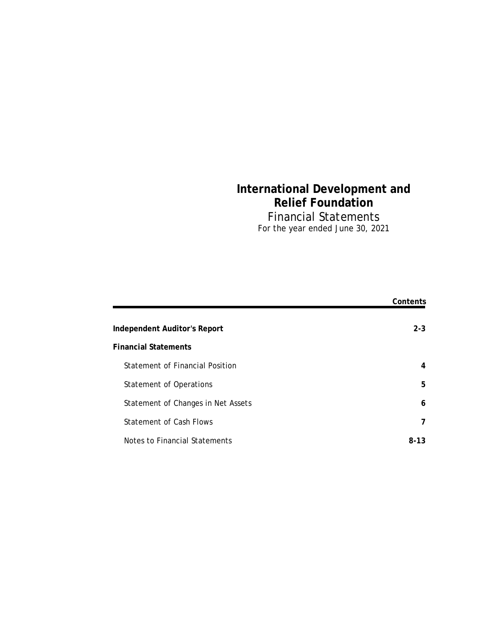# **International Development and Relief Foundation** Financial Statements For the year ended June 30, 2021

|                                    | Contents |
|------------------------------------|----------|
| Independent Auditor's Report       | $2 - 3$  |
| <b>Financial Statements</b>        |          |
| Statement of Financial Position    | 4        |
| <b>Statement of Operations</b>     | 5        |
| Statement of Changes in Net Assets | 6        |
| Statement of Cash Flows            | 7        |
| Notes to Financial Statements      | $8-13$   |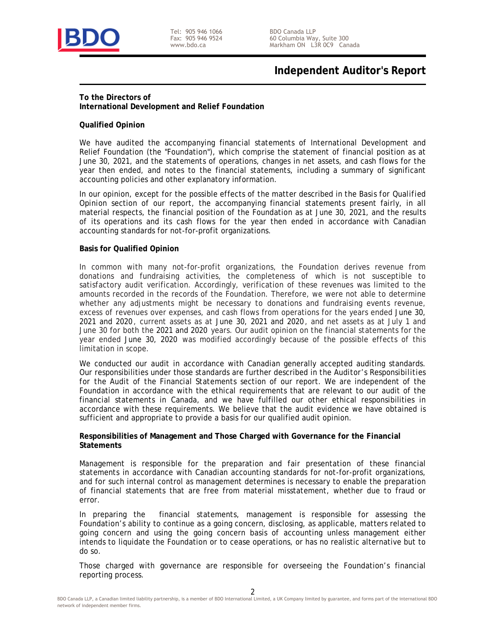

Tel: 905 946 1066 Fax: 905 946 9524 www.bdo.ca

# **Independent Auditor's Report**

## **To the Directors of**

**International Development and Relief Foundation**

#### **Qualified Opinion**

We have audited the accompanying financial statements of International Development and Relief Foundation (the "Foundation"), which comprise the statement of financial position as at June 30, 2021, and the statements of operations, changes in net assets, and cash flows for the year then ended, and notes to the financial statements, including a summary of significant accounting policies and other explanatory information.

In our opinion, except for the possible effects of the matter described in the *Basis for Qualified Opinion* section of our report, the accompanying financial statements present fairly, in all material respects, the financial position of the Foundation as at June 30, 2021, and the results of its operations and its cash flows for the year then ended in accordance with Canadian accounting standards for not-for-profit organizations.

#### **Basis for Qualified Opinion**

In common with many not-for-profit organizations, the Foundation derives revenue from donations and fundraising activities, the completeness of which is not susceptible to satisfactory audit verification. Accordingly, verification of these revenues was limited to the amounts recorded in the records of the Foundation. Therefore, we were not able to determine whether any adjustments might be necessary to donations and fundraising events revenue, excess of revenues over expenses, and cash flows from operations for the years ended June 30, 2021 and 2020 , current assets as at June 30, 2021 and 2020 , and net assets as at July 1 and June 30 for both the 2021 and 2020 years. Our audit opinion on the financial statements for the year ended June 30, 2020 was modified accordingly because of the possible effects of this limitation in scope.

We conducted our audit in accordance with Canadian generally accepted auditing standards. Our responsibilities under those standards are further described in the *Auditor's Responsibilities for the Audit of the Financial Statements* section of our report. We are independent of the Foundation in accordance with the ethical requirements that are relevant to our audit of the financial statements in Canada, and we have fulfilled our other ethical responsibilities in accordance with these requirements. We believe that the audit evidence we have obtained is sufficient and appropriate to provide a basis for our qualified audit opinion.

**Responsibilities of Management and Those Charged with Governance for the Financial Statements**

Management is responsible for the preparation and fair presentation of these financial statements in accordance with Canadian accounting standards for not-for-profit organizations, and for such internal control as management determines is necessary to enable the preparation of financial statements that are free from material misstatement, whether due to fraud or error.

In preparing the financial statements, management is responsible for assessing the Foundation's ability to continue as a going concern, disclosing, as applicable, matters related to going concern and using the going concern basis of accounting unless management either intends to liquidate the Foundation or to cease operations, or has no realistic alternative but to do so.

Those charged with governance are responsible for overseeing the Foundation's financial reporting process.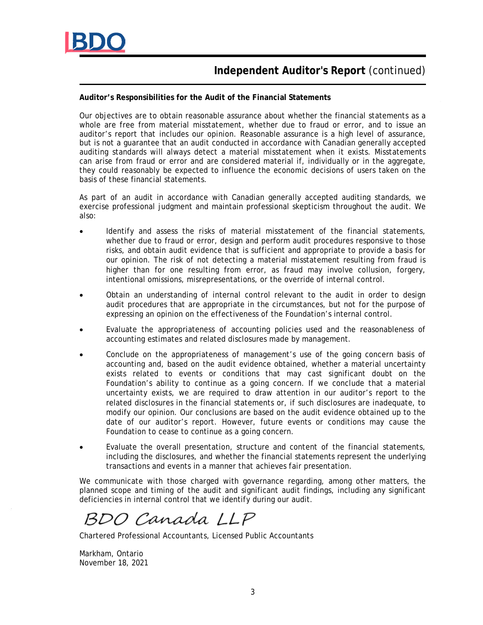

# **Independent Auditor's Report** (continued)

**Auditor's Responsibilities for the Audit of the Financial Statements**

Our objectives are to obtain reasonable assurance about whether the financial statements as a whole are free from material misstatement, whether due to fraud or error, and to issue an auditor's report that includes our opinion. Reasonable assurance is a high level of assurance, but is not a guarantee that an audit conducted in accordance with Canadian generally accepted auditing standards will always detect a material misstatement when it exists. Misstatements can arise from fraud or error and are considered material if, individually or in the aggregate, they could reasonably be expected to influence the economic decisions of users taken on the basis of these financial statements.

As part of an audit in accordance with Canadian generally accepted auditing standards, we exercise professional judgment and maintain professional skepticism throughout the audit. We also:

- Identify and assess the risks of material misstatement of the financial statements, whether due to fraud or error, design and perform audit procedures responsive to those risks, and obtain audit evidence that is sufficient and appropriate to provide a basis for our opinion. The risk of not detecting a material misstatement resulting from fraud is higher than for one resulting from error, as fraud may involve collusion, forgery, intentional omissions, misrepresentations, or the override of internal control.
- Obtain an understanding of internal control relevant to the audit in order to design audit procedures that are appropriate in the circumstances, but not for the purpose of expressing an opinion on the effectiveness of the Foundation's internal control.
- Evaluate the appropriateness of accounting policies used and the reasonableness of accounting estimates and related disclosures made by management.
- Conclude on the appropriateness of management's use of the going concern basis of accounting and, based on the audit evidence obtained, whether a material uncertainty exists related to events or conditions that may cast significant doubt on the Foundation's ability to continue as a going concern. If we conclude that a material uncertainty exists, we are required to draw attention in our auditor's report to the related disclosures in the financial statements or, if such disclosures are inadequate, to modify our opinion. Our conclusions are based on the audit evidence obtained up to the date of our auditor's report. However, future events or conditions may cause the Foundation to cease to continue as a going concern.
- Evaluate the overall presentation, structure and content of the financial statements, including the disclosures, and whether the financial statements represent the underlying transactions and events in a manner that achieves fair presentation.

We communicate with those charged with governance regarding, among other matters, the planned scope and timing of the audit and significant audit findings, including any significant deficiencies in internal control that we identify during our audit.

BDO Canada LLP

Chartered Professional Accountants, Licensed Public Accountants

Markham, Ontario November 18, 2021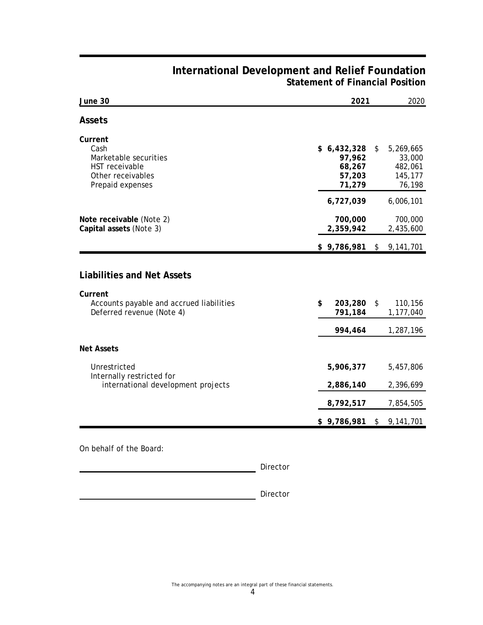|                                                                                                                |                                                     | 2021<br>2020  |                                                     |  |
|----------------------------------------------------------------------------------------------------------------|-----------------------------------------------------|---------------|-----------------------------------------------------|--|
| Assets                                                                                                         |                                                     |               |                                                     |  |
| Current<br>Cash<br>Marketable securities<br>HST receivable<br>Other receivables<br>Prepaid expenses            | \$6,432,328<br>97,962<br>68,267<br>57,203<br>71,279 | \$            | 5,269,665<br>33,000<br>482,061<br>145,177<br>76,198 |  |
|                                                                                                                | 6,727,039                                           |               | 6,006,101                                           |  |
| Note receivable (Note 2)<br>Capital assets (Note 3)                                                            | 700,000<br>2,359,942                                |               | 700,000<br>2,435,600                                |  |
|                                                                                                                | \$9,786,981                                         | $\frac{1}{2}$ | 9,141,701                                           |  |
| Liabilities and Net Assets<br>Current<br>Accounts payable and accrued liabilities<br>Deferred revenue (Note 4) | \$<br>203,280<br>791,184                            | \$            | 110,156<br>1,177,040                                |  |
|                                                                                                                | 994,464                                             |               | 1,287,196                                           |  |
| Net Assets                                                                                                     |                                                     |               |                                                     |  |
| Unrestricted<br>Internally restricted for                                                                      | 5,906,377                                           |               | 5,457,806                                           |  |
| international development projects                                                                             | 2,886,140                                           |               | 2,396,699                                           |  |
|                                                                                                                | 8,792,517                                           |               | 7,854,505                                           |  |
|                                                                                                                | \$9,786,981                                         | \$            | 9,141,701                                           |  |

## **International Development and Relief Foundation Statement of Financial Position**

On behalf of the Board:

Director

Director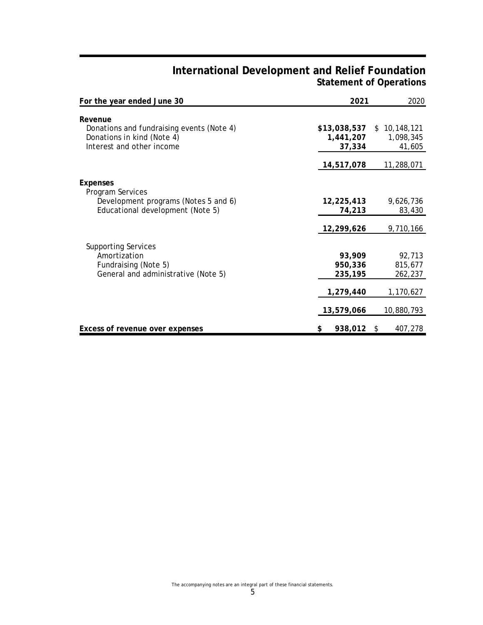## **International Development and Relief Foundation Statement of Operations**

| For the year ended June 30                                                                                      | 2021                                | 2020                                |
|-----------------------------------------------------------------------------------------------------------------|-------------------------------------|-------------------------------------|
| Revenue<br>Donations and fundraising events (Note 4)<br>Donations in kind (Note 4)<br>Interest and other income | \$13,038,537<br>1,441,207<br>37,334 | \$10,148,121<br>1,098,345<br>41,605 |
|                                                                                                                 | 14,517,078                          | 11,288,071                          |
| Expenses<br>Program Services                                                                                    |                                     |                                     |
| Development programs (Notes 5 and 6)<br>Educational development (Note 5)                                        | 12,225,413<br>74,213                | 9,626,736<br>83,430                 |
|                                                                                                                 | 12,299,626                          | 9,710,166                           |
| <b>Supporting Services</b><br>Amortization<br>Fundraising (Note 5)<br>General and administrative (Note 5)       | 93,909<br>950,336<br>235,195        | 92,713<br>815,677<br>262,237        |
|                                                                                                                 | 1,279,440                           | 1,170,627                           |
|                                                                                                                 | 13,579,066                          | 10,880,793                          |
| Excess of revenue over expenses                                                                                 | 938,012<br>\$                       | 407,278<br>S.                       |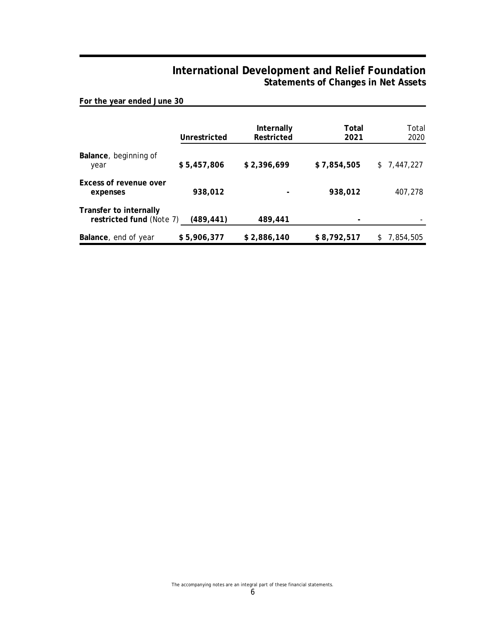## **International Development and Relief Foundation Statements of Changes in Net Assets**

**For the year ended June 30**

|                                                    | Unrestricted | Internally<br>Restricted | Total<br>2021 | Total<br>2020   |
|----------------------------------------------------|--------------|--------------------------|---------------|-----------------|
|                                                    |              |                          |               |                 |
| Balance, beginning of<br>year                      | \$5,457,806  | \$2,396,699              | \$7,854,505   | \$7,447,227     |
| Excess of revenue over<br>expenses                 | 938,012      |                          | 938.012       | 407,278         |
| Transfer to internally<br>restricted fund (Note 7) | (489, 441)   | 489,441                  |               |                 |
| Balance, end of year                               | \$5,906,377  | \$2,886,140              | \$8,792,517   | 7,854,505<br>S. |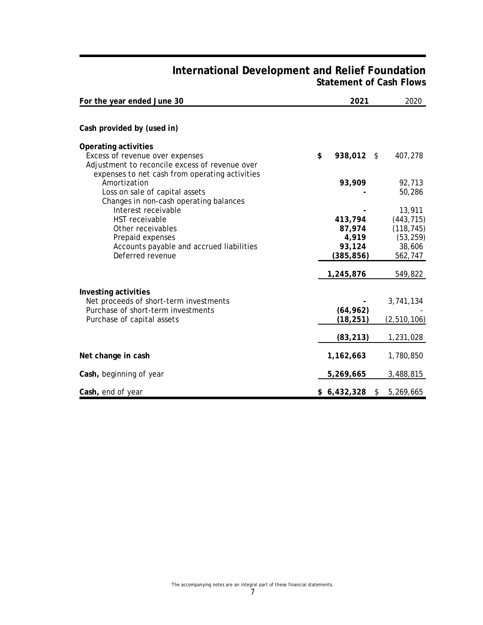## **International Development and Relief Foundation Statement of Cash Flows**

| For the year ended June 30                                                                                                                                  | 2021                          | 2020                               |
|-------------------------------------------------------------------------------------------------------------------------------------------------------------|-------------------------------|------------------------------------|
|                                                                                                                                                             |                               |                                    |
| Cash provided by (used in)                                                                                                                                  |                               |                                    |
| Operating activities<br>Excess of revenue over expenses<br>Adjustment to reconcile excess of revenue over<br>expenses to net cash from operating activities | \$<br>938,012 \$              | 407,278                            |
| Amortization<br>Loss on sale of capital assets<br>Changes in non-cash operating balances                                                                    | 93,909                        | 92,713<br>50,286                   |
| Interest receivable<br>HST receivable<br>Other receivables                                                                                                  | 413,794<br>87,974             | 13,911<br>(443, 715)<br>(118, 745) |
| Prepaid expenses<br>Accounts payable and accrued liabilities<br>Deferred revenue                                                                            | 4,919<br>93,124<br>(385, 856) | (53, 259)<br>38,606<br>562,747     |
|                                                                                                                                                             | 1,245,876                     | 549,822                            |
| Investing activities<br>Net proceeds of short-term investments<br>Purchase of short-term investments                                                        | (64, 962)                     | 3,741,134                          |
| Purchase of capital assets                                                                                                                                  | (18, 251)                     | (2, 510, 106)                      |
|                                                                                                                                                             | (83, 213)                     | 1,231,028                          |
| Net change in cash                                                                                                                                          | 1,162,663                     | 1,780,850                          |
| Cash, beginning of year                                                                                                                                     | 5,269,665                     | 3,488,815                          |
| Cash, end of year                                                                                                                                           | \$6,432,328                   | \$<br>5,269,665                    |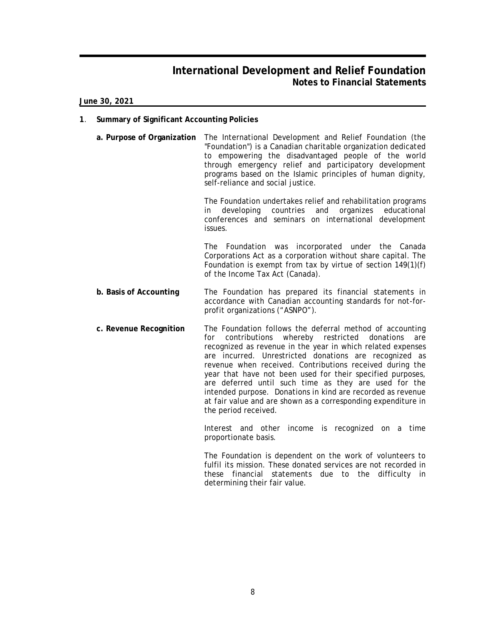**June 30, 2021**

- **1**. **Summary of Significant Accounting Policies**
	- **a. Purpose of Organization** The International Development and Relief Foundation (the "Foundation") is a Canadian charitable organization dedicated to empowering the disadvantaged people of the world through emergency relief and participatory development programs based on the Islamic principles of human dignity, self-reliance and social justice.

The Foundation undertakes relief and rehabilitation programs in developing countries and organizes educational conferences and seminars on international development issues.

The Foundation was incorporated under the Canada Corporations Act as a corporation without share capital. The Foundation is exempt from tax by virtue of section 149(1)(f) of the Income Tax Act (Canada).

- **b. Basis of Accounting** The Foundation has prepared its financial statements in accordance with Canadian accounting standards for not-forprofit organizations ("ASNPO").
- **c. Revenue Recognition** The Foundation follows the deferral method of accounting for contributions whereby restricted donations are recognized as revenue in the year in which related expenses are incurred. Unrestricted donations are recognized as revenue when received. Contributions received during the year that have not been used for their specified purposes, are deferred until such time as they are used for the intended purpose. Donations in kind are recorded as revenue at fair value and are shown as a corresponding expenditure in the period received.

Interest and other income is recognized on a time proportionate basis.

The Foundation is dependent on the work of volunteers to fulfil its mission. These donated services are not recorded in these financial statements due to the difficulty in determining their fair value.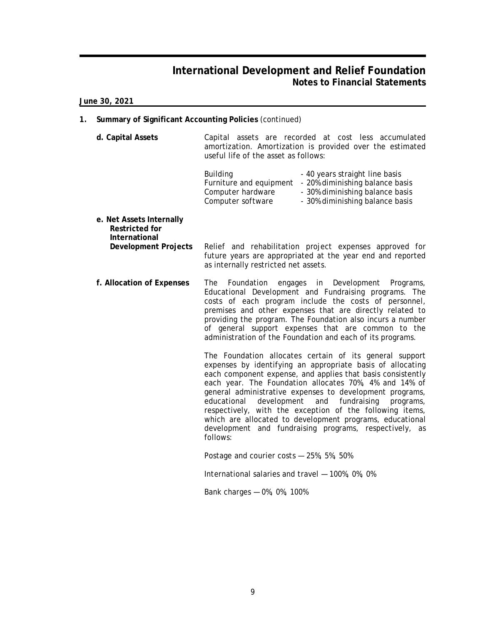**June 30, 2021**

- **1. Summary of Significant Accounting Policies** (continued)
	- **d. Capital Assets** Capital assets are recorded at cost less accumulated amortization. Amortization is provided over the estimated useful life of the asset as follows:

| - 40 years straight line basis  |
|---------------------------------|
| - 20% diminishing balance basis |
| - 30% diminishing balance basis |
| - 30% diminishing balance basis |
|                                 |

**e. Net Assets Internally Restricted for International Development Projects** Relief and rehabilitation project expenses approved for future years are appropriated at the year end and reported

as internally restricted net assets.

**f. Allocation of Expenses** The Foundation engages in Development Programs, Educational Development and Fundraising programs. The costs of each program include the costs of personnel, premises and other expenses that are directly related to providing the program. The Foundation also incurs a number of general support expenses that are common to the administration of the Foundation and each of its programs.

> The Foundation allocates certain of its general support expenses by identifying an appropriate basis of allocating each component expense, and applies that basis consistently each year. The Foundation allocates 70%, 4% and 14% of general administrative expenses to development programs, educational development and fundraising programs, respectively, with the exception of the following items, which are allocated to development programs, educational development and fundraising programs, respectively, as follows:

Postage and courier costs — 25%, 5%, 50%

International salaries and travel — 100%, 0%, 0%

Bank charges — 0%, 0%, 100%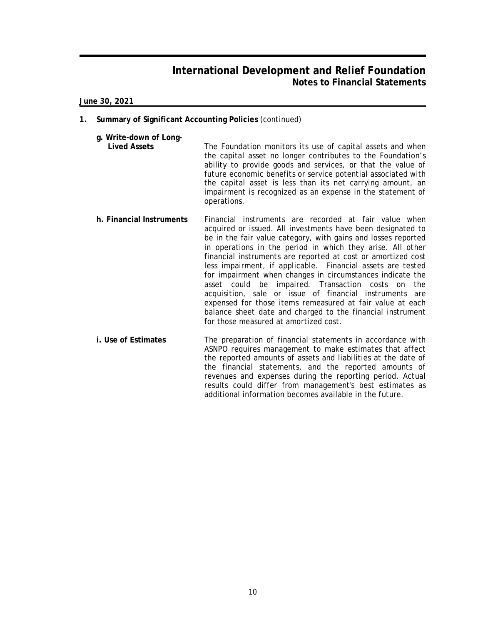**June 30, 2021**

- **1. Summary of Significant Accounting Policies** (continued)
	- **g. Write-down of Long-**

**Lived Assets** The Foundation monitors its use of capital assets and when the capital asset no longer contributes to the Foundation's ability to provide goods and services, or that the value of future economic benefits or service potential associated with the capital asset is less than its net carrying amount, an impairment is recognized as an expense in the statement of operations.

- **h. Financial Instruments** Financial instruments are recorded at fair value when acquired or issued. All investments have been designated to be in the fair value category, with gains and losses reported in operations in the period in which they arise. All other financial instruments are reported at cost or amortized cost less impairment, if applicable. Financial assets are tested for impairment when changes in circumstances indicate the asset could be impaired. Transaction costs on the acquisition, sale or issue of financial instruments are expensed for those items remeasured at fair value at each balance sheet date and charged to the financial instrument for those measured at amortized cost.
- **i. Use of Estimates** The preparation of financial statements in accordance with ASNPO requires management to make estimates that affect the reported amounts of assets and liabilities at the date of the financial statements, and the reported amounts of revenues and expenses during the reporting period. Actual results could differ from management's best estimates as additional information becomes available in the future.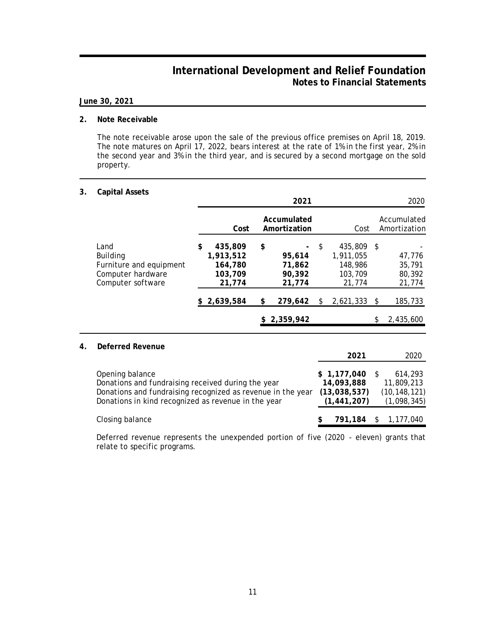#### **June 30, 2021**

#### **2. Note Receivable**

The note receivable arose upon the sale of the previous office premises on April 18, 2019. The note matures on April 17, 2022, bears interest at the rate of 1% in the first year, 2% in the second year and 3% in the third year, and is secured by a second mortgage on the sold property.

#### **3. Capital Assets**

|    |                                                                                              |                                                            | 2021                                       |    |                                                      |      | 2020                                 |
|----|----------------------------------------------------------------------------------------------|------------------------------------------------------------|--------------------------------------------|----|------------------------------------------------------|------|--------------------------------------|
|    |                                                                                              | Cost                                                       | Accumulated<br>Amortization                |    | Cost                                                 |      | Accumulated<br>Amortization          |
|    | Land<br><b>Building</b><br>Furniture and equipment<br>Computer hardware<br>Computer software | \$<br>435,809<br>1,913,512<br>164,780<br>103,709<br>21,774 | \$<br>95,614<br>71,862<br>90,392<br>21,774 | \$ | 435,809<br>1,911,055<br>148,986<br>103,709<br>21,774 | - \$ | 47,776<br>35,791<br>80,392<br>21,774 |
|    |                                                                                              | \$2,639,584                                                | \$<br>279,642                              | S  | 2,621,333                                            | -\$  | 185,733                              |
|    |                                                                                              |                                                            | \$2,359,942                                |    |                                                      | \$   | 2,435,600                            |
| 4. | Deferred Revenue                                                                             |                                                            |                                            |    |                                                      |      |                                      |

|                                                                                                                                                                                             | 2021                                                       | 2020                                                   |
|---------------------------------------------------------------------------------------------------------------------------------------------------------------------------------------------|------------------------------------------------------------|--------------------------------------------------------|
| Opening balance<br>Donations and fundraising received during the year<br>Donations and fundraising recognized as revenue in the year<br>Donations in kind recognized as revenue in the year | \$1,177,040<br>14,093,888<br>(13,038,537)<br>(1, 441, 207) | 614,293<br>11,809,213<br>(10, 148, 121)<br>(1,098,345) |
| Closing balance                                                                                                                                                                             | 791,184 \$                                                 | 1,177,040                                              |

Deferred revenue represents the unexpended portion of five (2020 - eleven) grants that relate to specific programs.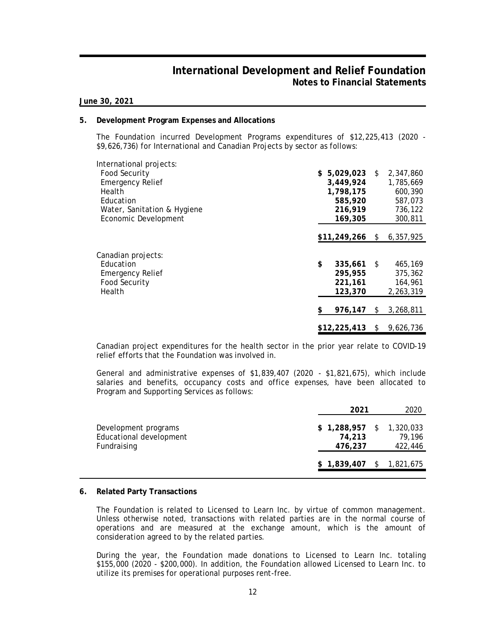**June 30, 2021**

#### **5. Development Program Expenses and Allocations**

The Foundation incurred Development Programs expenditures of \$12,225,413 (2020 - \$9,626,736) for International and Canadian Projects by sector as follows:

| International projects:     |                 |    |           |
|-----------------------------|-----------------|----|-----------|
| Food Security               | $$5,029,023$ \$ |    | 2,347,860 |
| <b>Emergency Relief</b>     | 3,449,924       |    | 1,785,669 |
| Health                      | 1,798,175       |    | 600,390   |
| Education                   | 585,920         |    | 587.073   |
| Water, Sanitation & Hygiene | 216,919         |    | 736,122   |
| Economic Development        | 169,305         |    | 300,811   |
|                             |                 |    |           |
|                             | \$11,249,266    | S. | 6,357,925 |
| Canadian projects:          |                 |    |           |
| Education                   | \$<br>335,661   | -S | 465,169   |
| <b>Emergency Relief</b>     | 295,955         |    | 375,362   |
| Food Security               | 221,161         |    | 164,961   |
| Health                      | 123,370         |    | 2,263,319 |
|                             |                 |    |           |
|                             | \$<br>976,147   | S. | 3,268,811 |
|                             |                 |    |           |
|                             | \$12,225,413    | S  | 9,626,736 |

Canadian project expenditures for the health sector in the prior year relate to COVID-19 relief efforts that the Foundation was involved in.

General and administrative expenses of \$1,839,407 (2020 - \$1,821,675), which include salaries and benefits, occupancy costs and office expenses, have been allocated to Program and Supporting Services as follows:

|                                                                |                   | 2021 | 2020                                           |
|----------------------------------------------------------------|-------------------|------|------------------------------------------------|
| Development programs<br>Educational development<br>Fundraising | 74,213<br>476,237 |      | $$1,288,957$ $$1,320,033$<br>79.196<br>422,446 |
|                                                                |                   |      | $$1,839,407$ $$1,821,675$                      |

#### **6. Related Party Transactions**

The Foundation is related to Licensed to Learn Inc. by virtue of common management. Unless otherwise noted, transactions with related parties are in the normal course of operations and are measured at the exchange amount, which is the amount of consideration agreed to by the related parties.

During the year, the Foundation made donations to Licensed to Learn Inc. totaling \$155,000 (2020 - \$200,000). In addition, the Foundation allowed Licensed to Learn Inc. to utilize its premises for operational purposes rent-free.